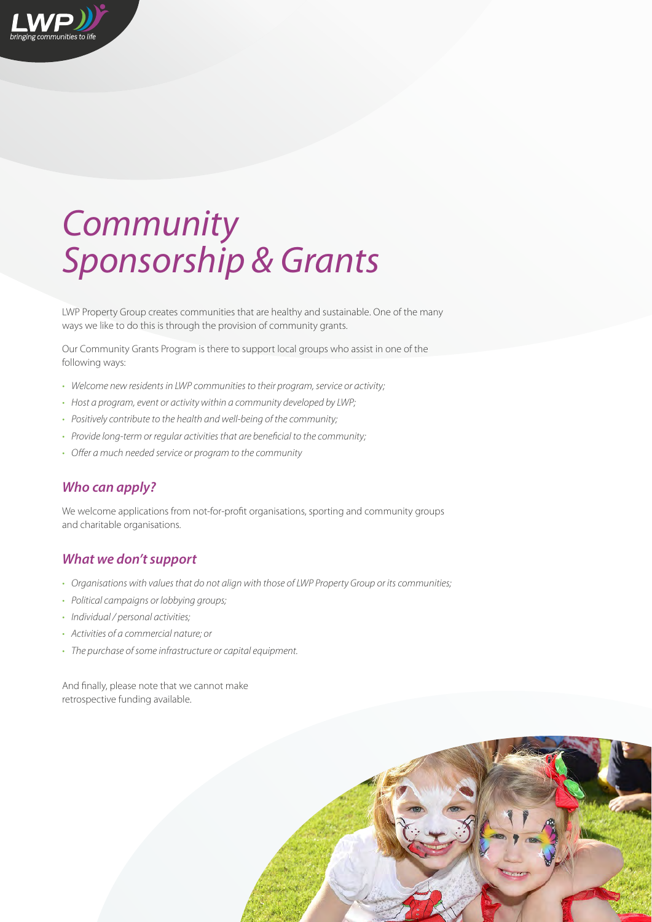

LWP Property Group creates communities that are healthy and sustainable. One of the many ways we like to do this is through the provision of community grants.

Our Community Grants Program is there to support local groups who assist in one of the following ways:

- *Welcome new residents in LWP communities to their program, service or activity;*
- *Host a program, event or activity within a community developed by LWP;*
- *Positively contribute to the health and well-being of the community;*
- *Provide long-term or regular activities that are beneficial to the community;*
- *Offer a much needed service or program to the community*

# *Who can apply?*

We welcome applications from not-for-profit organisations, sporting and community groups and charitable organisations.

### *What we don't support*

- *Organisations with values that do not align with those of LWP Property Group or its communities;*
- *Political campaigns or lobbying groups;*
- *Individual / personal activities;*
- *Activities of a commercial nature; or*
- *The purchase of some infrastructure or capital equipment.*

And finally, please note that we cannot make retrospective funding available.

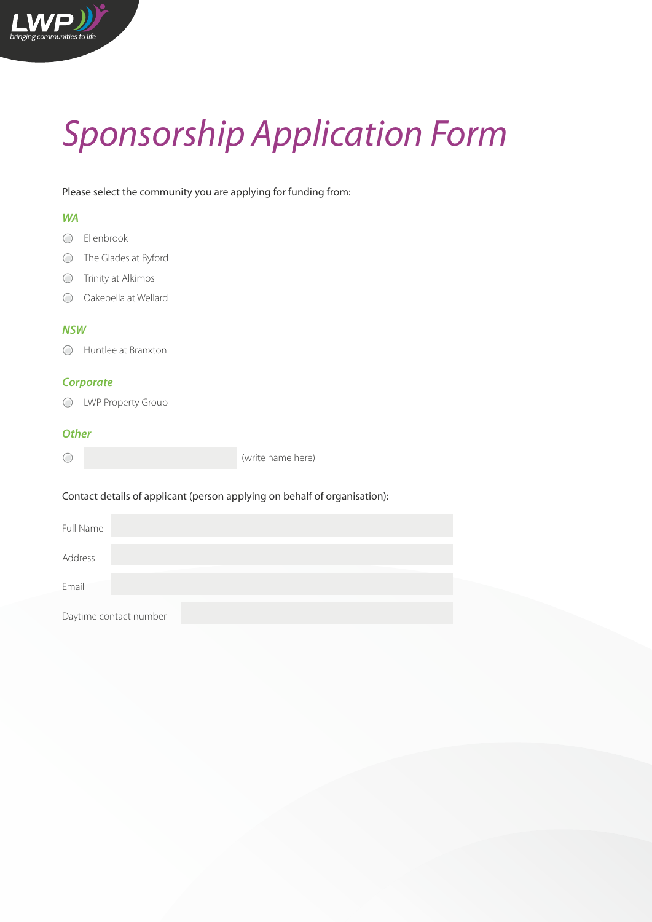# *Sponsorship Application Form*

Please select the community you are applying for funding from:

# *WA*

- Ellenbrook
- The Glades at Byford
- Trinity at Alkimos
- Oakebella at Wellard

# *NSW*

Huntlee at Branxton

## *Corporate*

LWP Property Group

#### *Other*

| $\bigcirc$ | (write name here) |
|------------|-------------------|
|            |                   |

#### Contact details of applicant (person applying on behalf of organisation):

| Full Name |                        |  |  |
|-----------|------------------------|--|--|
| Address   |                        |  |  |
| Email     |                        |  |  |
|           | Daytime contact number |  |  |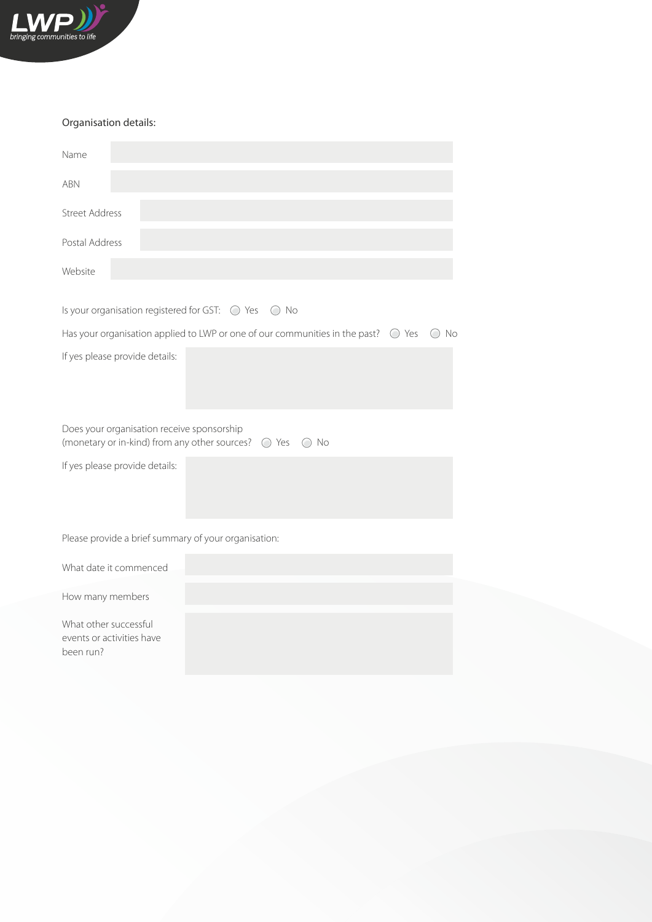

#### Organisation details:

| Name                                                                                                                     |  |  |  |  |  |  |  |
|--------------------------------------------------------------------------------------------------------------------------|--|--|--|--|--|--|--|
| <b>ABN</b>                                                                                                               |  |  |  |  |  |  |  |
| <b>Street Address</b>                                                                                                    |  |  |  |  |  |  |  |
| Postal Address                                                                                                           |  |  |  |  |  |  |  |
| Website                                                                                                                  |  |  |  |  |  |  |  |
| Is your organisation registered for GST: $\bigcirc$ Yes $\bigcirc$ No                                                    |  |  |  |  |  |  |  |
| Has your organisation applied to LWP or one of our communities in the past? $\bigcirc$ Yes<br>No<br>(                    |  |  |  |  |  |  |  |
| If yes please provide details:                                                                                           |  |  |  |  |  |  |  |
| Does your organisation receive sponsorship<br>(monetary or in-kind) from any other sources? $\bigcirc$ Yes $\bigcirc$ No |  |  |  |  |  |  |  |
| If yes please provide details:                                                                                           |  |  |  |  |  |  |  |
| Please provide a brief summary of your organisation:                                                                     |  |  |  |  |  |  |  |
| What date it commenced                                                                                                   |  |  |  |  |  |  |  |
| How many members                                                                                                         |  |  |  |  |  |  |  |

What other successful events or activities have been run?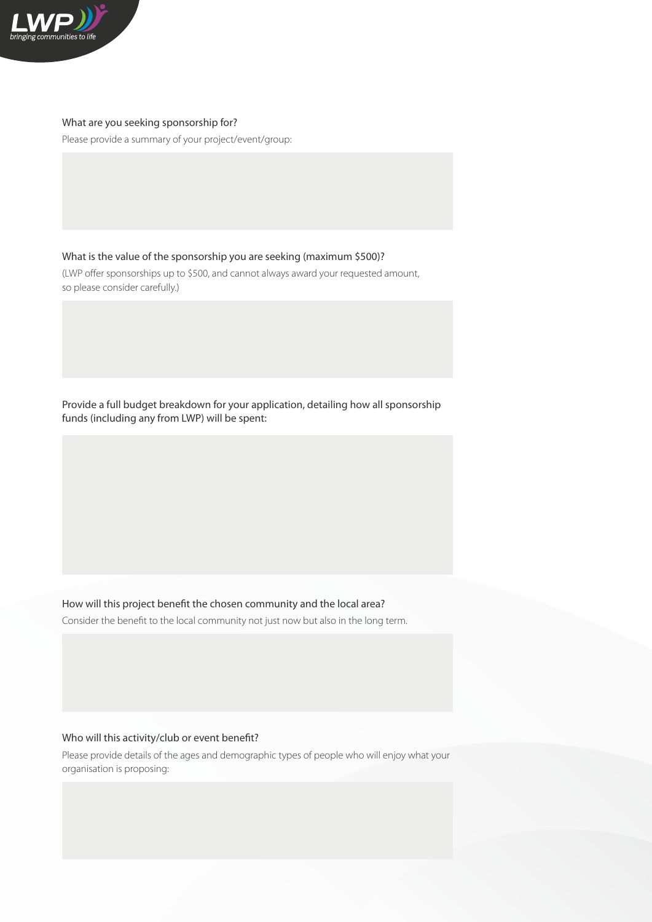

#### What are you seeking sponsorship for?

Please provide a summary of your project/event/group:

What is the value of the sponsorship you are seeking (maximum \$500)?

(LWP offer sponsorships up to \$500, and cannot always award your requested amount, so please consider carefully.)

Provide a full budget breakdown for your application, detailing how all sponsorship funds (including any from LWP) will be spent:

How will this project benefit the chosen community and the local area?

Consider the benefit to the local community not just now but also in the long term.

#### Who will this activity/club or event benefit?

Please provide details of the ages and demographic types of people who will enjoy what your organisation is proposing: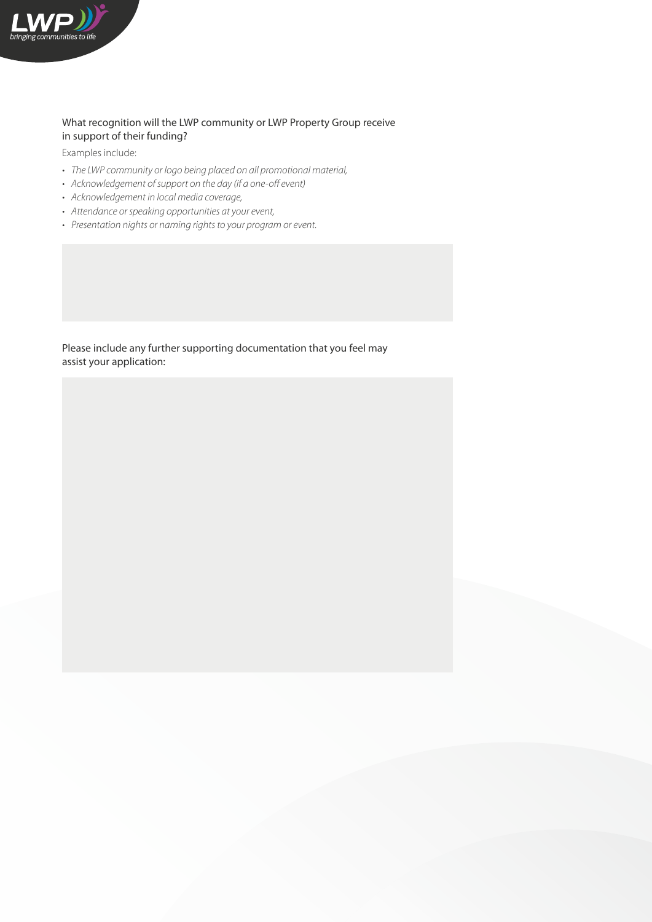

#### What recognition will the LWP community or LWP Property Group receive in support of their funding?

Examples include:

- The LWP community or logo being placed on all promotional material,
- • Acknowledgement of support on the day (if a one-off event)
- • Acknowledgement in local media coverage,
- • Attendance or speaking opportunities at your event,
- Presentation nights or naming rights to your program or event.

Please include any further supporting documentation that you feel may assist your application: